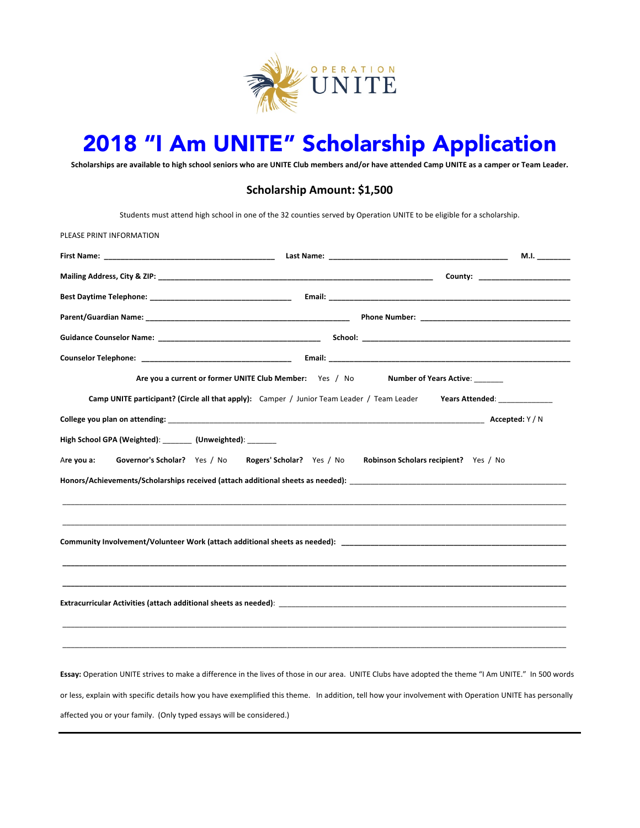

# 2018 "I Am UNITE" Scholarship Application

Scholarships are available to high school seniors who are UNITE Club members and/or have attended Camp UNITE as a camper or Team Leader.

# **Scholarship Amount: \$1,500**

Students must attend high school in one of the 32 counties served by Operation UNITE to be eligible for a scholarship.

| <b>First Name:</b> The Communication of the Communication of the Communication of the Communication of the Communication of the Communication of the Communication of the Communication of the Communication of the Communication o<br>Last Name: The Committee of the Committee of the Committee of the Committee of the Committee of the Committee o | M.I.                                                                                                                                                 |
|--------------------------------------------------------------------------------------------------------------------------------------------------------------------------------------------------------------------------------------------------------------------------------------------------------------------------------------------------------|------------------------------------------------------------------------------------------------------------------------------------------------------|
|                                                                                                                                                                                                                                                                                                                                                        |                                                                                                                                                      |
|                                                                                                                                                                                                                                                                                                                                                        |                                                                                                                                                      |
|                                                                                                                                                                                                                                                                                                                                                        |                                                                                                                                                      |
|                                                                                                                                                                                                                                                                                                                                                        |                                                                                                                                                      |
|                                                                                                                                                                                                                                                                                                                                                        |                                                                                                                                                      |
|                                                                                                                                                                                                                                                                                                                                                        |                                                                                                                                                      |
| Are you a current or former UNITE Club Member: Yes / No Number of Years Active:                                                                                                                                                                                                                                                                        |                                                                                                                                                      |
|                                                                                                                                                                                                                                                                                                                                                        |                                                                                                                                                      |
| High School GPA (Weighted): ________ (Unweighted): ________                                                                                                                                                                                                                                                                                            |                                                                                                                                                      |
|                                                                                                                                                                                                                                                                                                                                                        |                                                                                                                                                      |
|                                                                                                                                                                                                                                                                                                                                                        |                                                                                                                                                      |
| Extracurricular Activities (attach additional sheets as needed): National Communications of the communication of the communication of the communication of the communication of the communication of the communication of the                                                                                                                          |                                                                                                                                                      |
|                                                                                                                                                                                                                                                                                                                                                        | Essay: Operation UNITE strives to make a difference in the lives of those in our area. UNITE Clubs have adopted the theme "I Am UNITE." In 500 words |

affected you or your family. (Only typed essays will be considered.)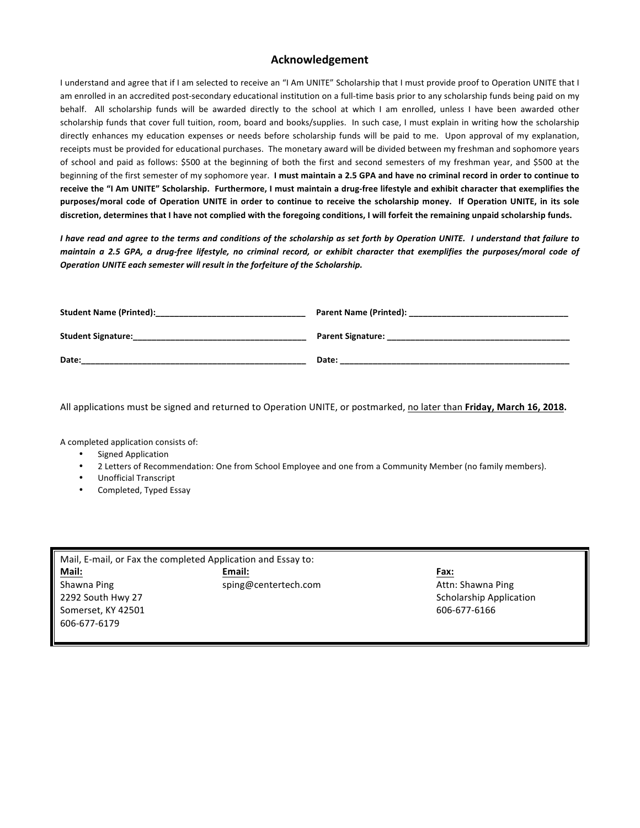#### **Acknowledgement**

I understand and agree that if I am selected to receive an "I Am UNITE" Scholarship that I must provide proof to Operation UNITE that I am enrolled in an accredited post-secondary educational institution on a full-time basis prior to any scholarship funds being paid on my behalf. All scholarship funds will be awarded directly to the school at which I am enrolled, unless I have been awarded other scholarship funds that cover full tuition, room, board and books/supplies. In such case, I must explain in writing how the scholarship directly enhances my education expenses or needs before scholarship funds will be paid to me. Upon approval of my explanation, receipts must be provided for educational purchases. The monetary award will be divided between my freshman and sophomore years of school and paid as follows: \$500 at the beginning of both the first and second semesters of my freshman year, and \$500 at the beginning of the first semester of my sophomore year. I must maintain a 2.5 GPA and have no criminal record in order to continue to receive the "I Am UNITE" Scholarship. Furthermore, I must maintain a drug-free lifestyle and exhibit character that exemplifies the purposes/moral code of Operation UNITE in order to continue to receive the scholarship money. If Operation UNITE, in its sole discretion, determines that I have not complied with the foregoing conditions, I will forfeit the remaining unpaid scholarship funds.

I have read and agree to the terms and conditions of the scholarship as set forth by Operation UNITE. I understand that failure to maintain a 2.5 GPA, a drug-free lifestyle, no criminal record, or exhibit character that exemplifies the purposes/moral code of **Operation UNITE each semester will result in the forfeiture of the Scholarship.** 

| <b>Student Name (Printed):</b> | <b>Parent Name (Printed):</b> |
|--------------------------------|-------------------------------|
| <b>Student Signature:</b>      | <b>Parent Signature:</b>      |
| Date:                          | Date:                         |

All applications must be signed and returned to Operation UNITE, or postmarked, no later than Friday, March 16, 2018.

A completed application consists of:

- Signed Application
- 2 Letters of Recommendation: One from School Employee and one from a Community Member (no family members).
- Unofficial Transcript
- Completed, Typed Essay

| Mail, E-mail, or Fax the completed Application and Essay to: |                      |             |  |
|--------------------------------------------------------------|----------------------|-------------|--|
| Mail:                                                        | Email:               | <b>Fax:</b> |  |
| Shawna Ping                                                  | sping@centertech.com | Attn:       |  |
| 2292 South Hwy 27                                            |                      | Scho        |  |
| Somerset, KY 42501                                           |                      | $606-$      |  |
| 606-677-6179                                                 |                      |             |  |

m **Shawna** Ping **Attn:** Shawna Ping Scholarship Application 606-677-6166